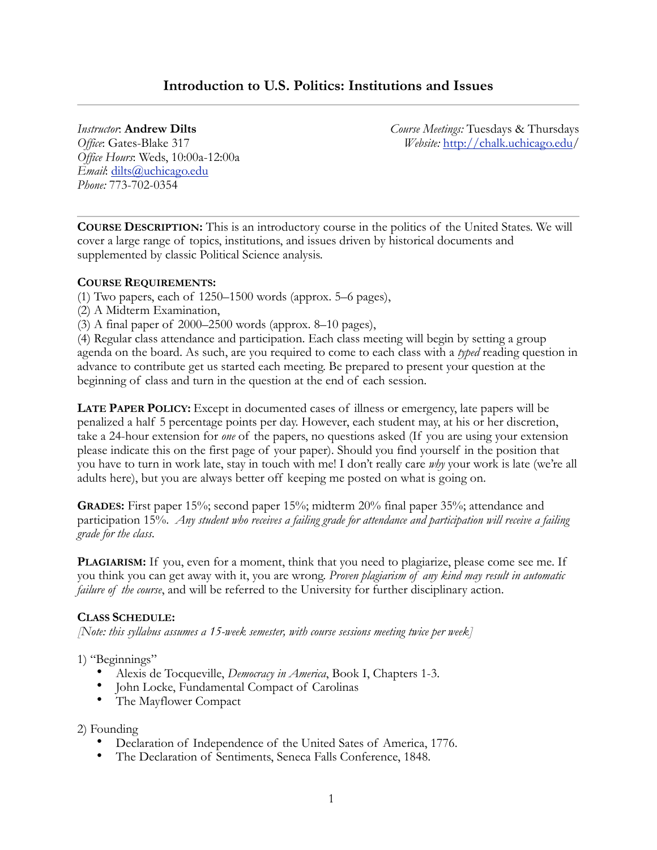# **Introduction to U.S. Politics: Institutions and Issues**

### *Instructor*: **Andrew Dilts**

*Office*: Gates-Blake 317 *Office Hours*: Weds, 10:00a-12:00a *Email*: [dilts@uchicago.edu](mailto:dilts@uchicago.edu) *Phone:* 773-702-0354

*Course Meetings:* Tuesdays & Thursdays *Website:* <http://chalk.uchicago.edu>/

**COURSE DESCRIPTION:** This is an introductory course in the politics of the United States. We will cover a large range of topics, institutions, and issues driven by historical documents and supplemented by classic Political Science analysis.

## **COURSE REQUIREMENTS:**

- (1) Two papers, each of 1250–1500 words (approx. 5–6 pages),
- (2) A Midterm Examination,
- (3) A final paper of 2000–2500 words (approx. 8–10 pages),

(4) Regular class attendance and participation. Each class meeting will begin by setting a group agenda on the board. As such, are you required to come to each class with a *typed* reading question in advance to contribute get us started each meeting. Be prepared to present your question at the beginning of class and turn in the question at the end of each session.

**LATE PAPER POLICY:** Except in documented cases of illness or emergency, late papers will be penalized a half 5 percentage points per day. However, each student may, at his or her discretion, take a 24-hour extension for *one* of the papers, no questions asked (If you are using your extension please indicate this on the first page of your paper). Should you find yourself in the position that you have to turn in work late, stay in touch with me! I don't really care *why* your work is late (we're all adults here), but you are always better off keeping me posted on what is going on.

**GRADES:** First paper 15%; second paper 15%; midterm 20% final paper 35%; attendance and participation 15%. *Any student who receives a failing grade for attendance and participation will receive a failing grade for the class*.

PLAGIARISM: If you, even for a moment, think that you need to plagiarize, please come see me. If you think you can get away with it, you are wrong. *Proven plagiarism of any kind may result in automatic failure of the course*, and will be referred to the University for further disciplinary action.

## **CLASS SCHEDULE:**

*[Note: this syllabus assumes a 15-week semester, with course sessions meeting twice per week]*

## 1) "Beginnings"

- Alexis de Tocqueville, *Democracy in America*, Book I, Chapters 1-3.
- John Locke, Fundamental Compact of Carolinas
- The Mayflower Compact

## 2) Founding

- Declaration of Independence of the United Sates of America, 1776.
- The Declaration of Sentiments, Seneca Falls Conference, 1848.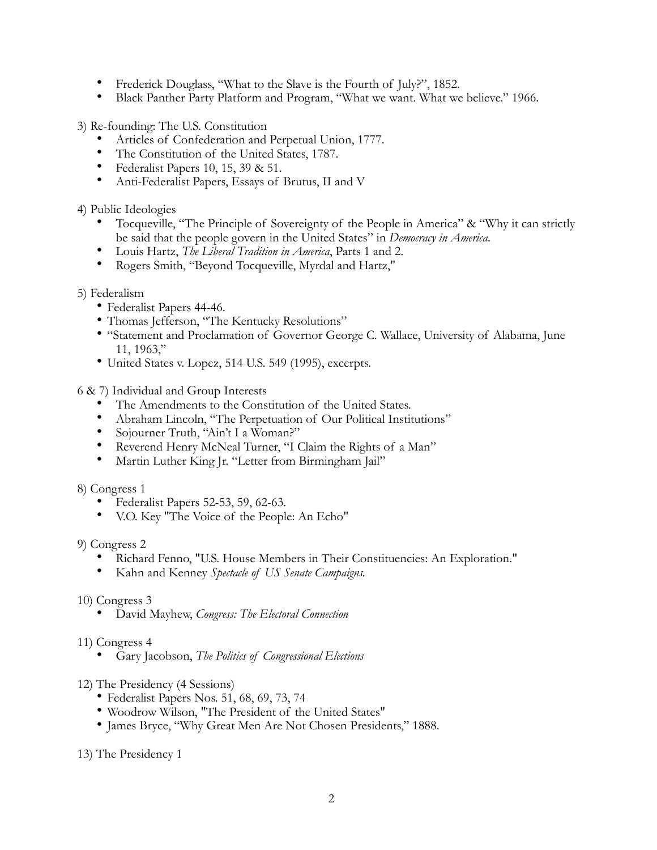- Frederick Douglass, "What to the Slave is the Fourth of July?", 1852.
- Black Panther Party Platform and Program, "What we want. What we believe." 1966.

3) Re-founding: The U.S. Constitution

- Articles of Confederation and Perpetual Union, 1777.
- The Constitution of the United States, 1787.
- Federalist Papers 10, 15, 39 & 51.
- Anti-Federalist Papers, Essays of Brutus, II and V

4) Public Ideologies

- Tocqueville, "The Principle of Sovereignty of the People in America" & "Why it can strictly be said that the people govern in the United States" in *Democracy in America*.
- Louis Hartz, *The Liberal Tradition in America*, Parts 1 and 2.
- Rogers Smith, "Beyond Tocqueville, Myrdal and Hartz,"

## 5) Federalism

- Federalist Papers 44-46.
- Thomas Jefferson, "The Kentucky Resolutions"
- "Statement and Proclamation of Governor George C. Wallace, University of Alabama, June 11, 1963,"
- United States v. Lopez, 514 U.S. 549 (1995), excerpts.

6 & 7) Individual and Group Interests

- The Amendments to the Constitution of the United States.
- Abraham Lincoln, "The Perpetuation of Our Political Institutions"
- Sojourner Truth, "Ain't I a Woman?"
- Reverend Henry McNeal Turner, "I Claim the Rights of a Man"
- Martin Luther King Jr. "Letter from Birmingham Jail"

8) Congress 1

- Federalist Papers 52-53, 59, 62-63.
- V.O. Key "The Voice of the People: An Echo"

9) Congress 2

- Richard Fenno, "U.S. House Members in Their Constituencies: An Exploration."
- Kahn and Kenney *Spectacle of US Senate Campaigns.*
- 10) Congress 3
	- David Mayhew, *Congress: The Electoral Connection*
- 11) Congress 4
	- Gary Jacobson, *The Politics of Congressional Elections*
- 12) The Presidency (4 Sessions)
	- Federalist Papers Nos. 51, 68, 69, 73, 74
	- Woodrow Wilson, "The President of the United States"
	- James Bryce, "Why Great Men Are Not Chosen Presidents," 1888.
- 13) The Presidency 1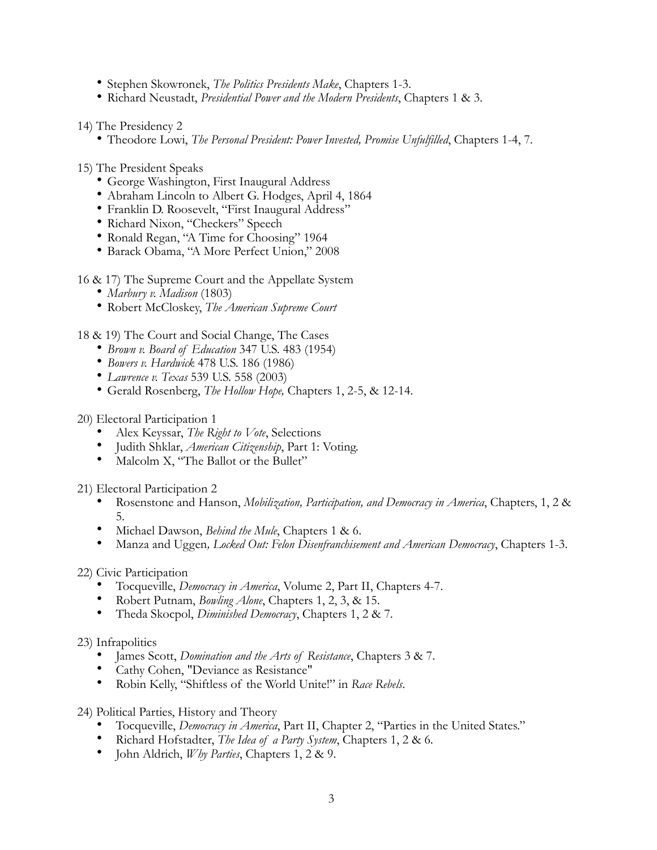- Stephen Skowronek, *The Politics Presidents Make*, Chapters 1-3.
- Richard Neustadt, *Presidential Power and the Modern Presidents*, Chapters 1 & 3.
- 14) The Presidency 2
	- Theodore Lowi, *The Personal President: Power Invested, Promise Unfulfilled*, Chapters 1-4, 7.
- 15) The President Speaks
	- George Washington, First Inaugural Address
	- Abraham Lincoln to Albert G. Hodges, April 4, 1864
	- Franklin D. Roosevelt, "First Inaugural Address"
	- Richard Nixon, "Checkers" Speech
	- Ronald Regan, "A Time for Choosing" 1964
	- Barack Obama, "A More Perfect Union," 2008
- 16 & 17) The Supreme Court and the Appellate System
	- *Marbury v. Madison* (1803)
	- Robert McCloskey, *The American Supreme Court*
- 18 & 19) The Court and Social Change, The Cases
	- *Brown v. Board of Education* 347 U.S. 483 (1954)
	- *Bowers v. Hardwick* 478 U.S. 186 (1986)
	- *Lawrence v. Texas* 539 U.S. 558 (2003)
	- Gerald Rosenberg, *The Hollow Hope,* Chapters 1, 2-5, & 12-14.
- 20) Electoral Participation 1
	- Alex Keyssar, *The Right to Vote*, Selections
	- Judith Shklar, *American Citizenship*, Part 1: Voting.
	- Malcolm X, "The Ballot or the Bullet"

21) Electoral Participation 2

- Rosenstone and Hanson, *Mobilization, Participation, and Democracy in America*, Chapters, 1, 2 & 5.
- Michael Dawson, *Behind the Mule*, Chapters 1 & 6.
- Manza and Uggen*, Locked Out: Felon Disenfranchisement and American Democracy*, Chapters 1-3.

22) Civic Participation

- Tocqueville, *Democracy in America*, Volume 2, Part II, Chapters 4-7.
- Robert Putnam, *Bowling Alone*, Chapters 1, 2, 3, & 15.
- Theda Skocpol, *Diminished Democracy*, Chapters 1, 2 & 7.

23) Infrapolitics

- James Scott, *Domination and the Arts of Resistance*, Chapters 3 & 7.
- Cathy Cohen, "Deviance as Resistance"
- Robin Kelly, "Shiftless of the World Unite!" in *Race Rebels*.
- 24) Political Parties, History and Theory
	- Tocqueville, *Democracy in America*, Part II, Chapter 2, "Parties in the United States."
	- Richard Hofstadter, *The Idea of a Party System*, Chapters 1, 2 & 6.
	- John Aldrich, *Why Parties*, Chapters 1, 2 & 9.